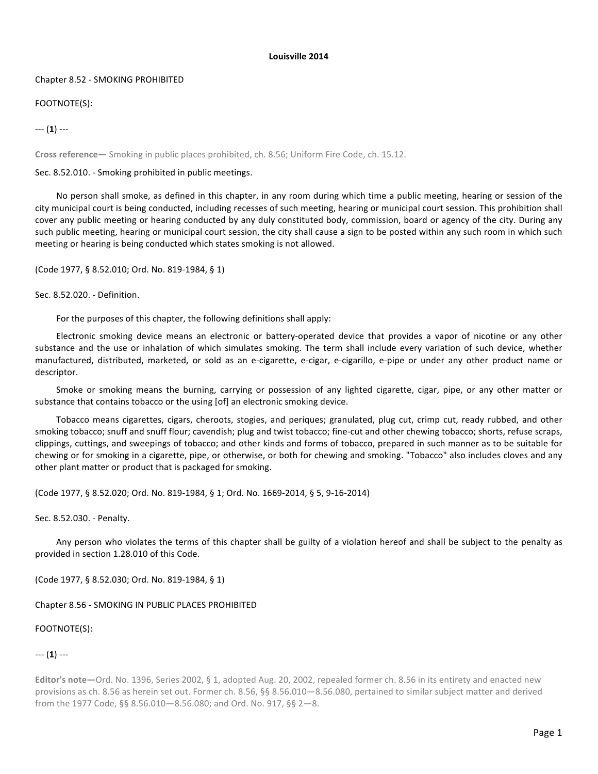## **Louisville 2014**

## Chapter 8.52 - SMOKING PROHIBITED

# FOOTNOTE(S):

--- (**1**) ---

**Cross reference—** Smoking in public places prohibited, ch. 8.56; Uniform Fire Code, ch. 15.12.

Sec. 8.52.010. - Smoking prohibited in public meetings.

No person shall smoke, as defined in this chapter, in any room during which time a public meeting, hearing or session of the city municipal court is being conducted, including recesses of such meeting, hearing or municipal court session. This prohibition shall cover any public meeting or hearing conducted by any duly constituted body, commission, board or agency of the city. During any such public meeting, hearing or municipal court session, the city shall cause a sign to be posted within any such room in which such meeting or hearing is being conducted which states smoking is not allowed.

(Code 1977, § 8.52.010; Ord. No. 819-1984, § 1)

Sec. 8.52.020. - Definition.

For the purposes of this chapter, the following definitions shall apply:

Electronic smoking device means an electronic or battery-operated device that provides a vapor of nicotine or any other substance and the use or inhalation of which simulates smoking. The term shall include every variation of such device, whether manufactured, distributed, marketed, or sold as an e-cigarette, e-cigar, e-cigarillo, e-pipe or under any other product name or descriptor. 

Smoke or smoking means the burning, carrying or possession of any lighted cigarette, cigar, pipe, or any other matter or substance that contains tobacco or the using [of] an electronic smoking device.

Tobacco means cigarettes, cigars, cheroots, stogies, and periques; granulated, plug cut, crimp cut, ready rubbed, and other smoking tobacco; snuff and snuff flour; cavendish; plug and twist tobacco; fine-cut and other chewing tobacco; shorts, refuse scraps, clippings, cuttings, and sweepings of tobacco; and other kinds and forms of tobacco, prepared in such manner as to be suitable for chewing or for smoking in a cigarette, pipe, or otherwise, or both for chewing and smoking. "Tobacco" also includes cloves and any other plant matter or product that is packaged for smoking.

(Code 1977, § 8.52.020; Ord. No. 819-1984, § 1; Ord. No. 1669-2014, § 5, 9-16-2014)

Sec. 8.52.030. - Penalty.

Any person who violates the terms of this chapter shall be guilty of a violation hereof and shall be subject to the penalty as provided in section 1.28.010 of this Code.

(Code 1977, § 8.52.030; Ord. No. 819-1984, § 1)

Chapter 8.56 - SMOKING IN PUBLIC PLACES PROHIBITED

FOOTNOTE(S):

--- (**1**) ---

**Editor's note—Ord.** No. 1396, Series 2002, § 1, adopted Aug. 20, 2002, repealed former ch. 8.56 in its entirety and enacted new provisions as ch. 8.56 as herein set out. Former ch. 8.56, §§ 8.56.010—8.56.080, pertained to similar subject matter and derived from the 1977 Code, §§ 8.56.010-8.56.080; and Ord. No. 917, §§ 2-8.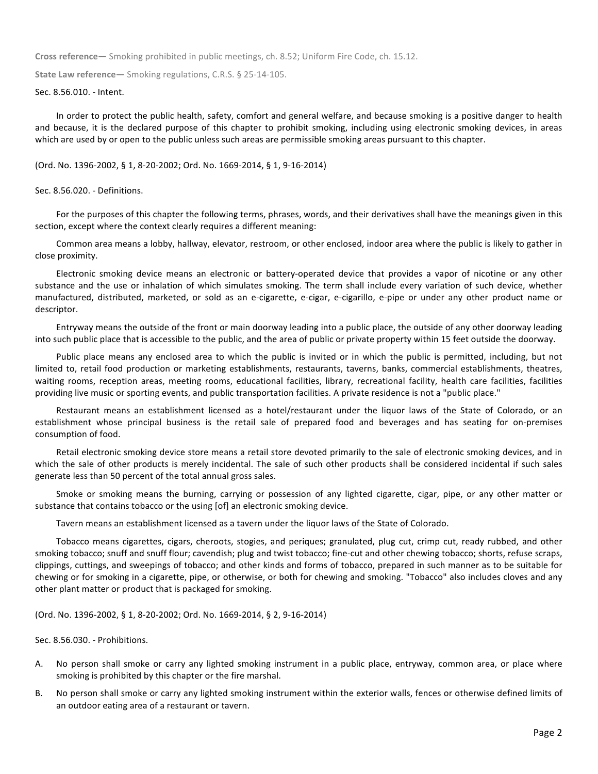**Cross reference—** Smoking prohibited in public meetings, ch. 8.52; Uniform Fire Code, ch. 15.12.

**State Law reference—** Smoking regulations, C.R.S. § 25-14-105.

#### Sec. 8.56.010. - Intent.

In order to protect the public health, safety, comfort and general welfare, and because smoking is a positive danger to health and because, it is the declared purpose of this chapter to prohibit smoking, including using electronic smoking devices, in areas which are used by or open to the public unless such areas are permissible smoking areas pursuant to this chapter.

## (Ord. No. 1396-2002, § 1, 8-20-2002; Ord. No. 1669-2014, § 1, 9-16-2014)

## Sec. 8.56.020. - Definitions.

For the purposes of this chapter the following terms, phrases, words, and their derivatives shall have the meanings given in this section, except where the context clearly requires a different meaning:

Common area means a lobby, hallway, elevator, restroom, or other enclosed, indoor area where the public is likely to gather in close proximity.

Electronic smoking device means an electronic or battery-operated device that provides a vapor of nicotine or any other substance and the use or inhalation of which simulates smoking. The term shall include every variation of such device, whether manufactured, distributed, marketed, or sold as an e-cigarette, e-cigar, e-cigarillo, e-pipe or under any other product name or descriptor. 

Entryway means the outside of the front or main doorway leading into a public place, the outside of any other doorway leading into such public place that is accessible to the public, and the area of public or private property within 15 feet outside the doorway.

Public place means any enclosed area to which the public is invited or in which the public is permitted, including, but not limited to, retail food production or marketing establishments, restaurants, taverns, banks, commercial establishments, theatres, waiting rooms, reception areas, meeting rooms, educational facilities, library, recreational facility, health care facilities, facilities providing live music or sporting events, and public transportation facilities. A private residence is not a "public place."

Restaurant means an establishment licensed as a hotel/restaurant under the liquor laws of the State of Colorado, or an establishment whose principal business is the retail sale of prepared food and beverages and has seating for on-premises consumption of food.

Retail electronic smoking device store means a retail store devoted primarily to the sale of electronic smoking devices, and in which the sale of other products is merely incidental. The sale of such other products shall be considered incidental if such sales generate less than 50 percent of the total annual gross sales.

Smoke or smoking means the burning, carrying or possession of any lighted cigarette, cigar, pipe, or any other matter or substance that contains tobacco or the using [of] an electronic smoking device.

Tavern means an establishment licensed as a tavern under the liquor laws of the State of Colorado.

Tobacco means cigarettes, cigars, cheroots, stogies, and periques; granulated, plug cut, crimp cut, ready rubbed, and other smoking tobacco; snuff and snuff flour; cavendish; plug and twist tobacco; fine-cut and other chewing tobacco; shorts, refuse scraps, clippings, cuttings, and sweepings of tobacco; and other kinds and forms of tobacco, prepared in such manner as to be suitable for chewing or for smoking in a cigarette, pipe, or otherwise, or both for chewing and smoking. "Tobacco" also includes cloves and any other plant matter or product that is packaged for smoking.

(Ord. No. 1396-2002, § 1, 8-20-2002; Ord. No. 1669-2014, § 2, 9-16-2014)

Sec. 8.56.030. - Prohibitions.

- A. No person shall smoke or carry any lighted smoking instrument in a public place, entryway, common area, or place where smoking is prohibited by this chapter or the fire marshal.
- B. No person shall smoke or carry any lighted smoking instrument within the exterior walls, fences or otherwise defined limits of an outdoor eating area of a restaurant or tavern.